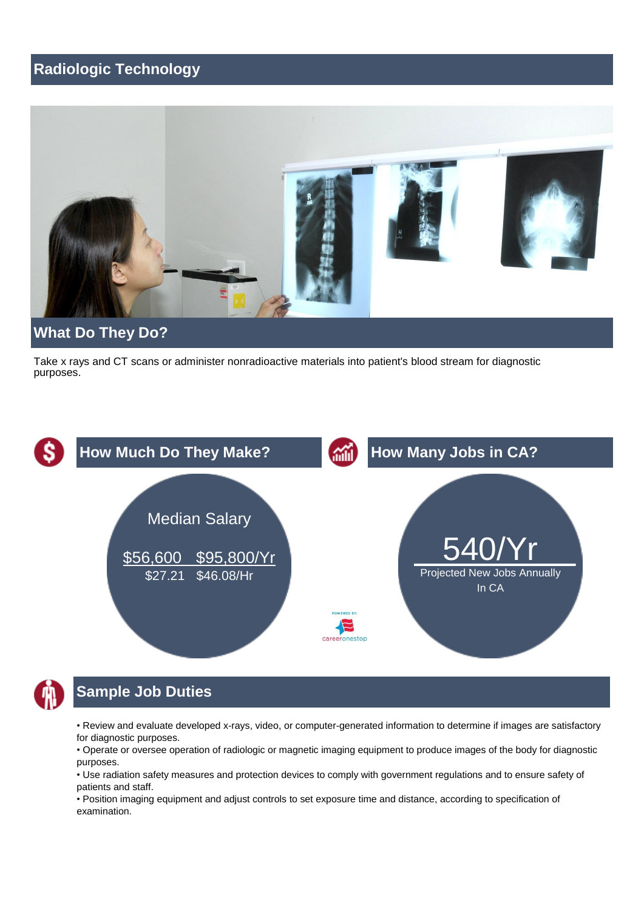# **Radiologic Technology**



 Take x rays and CT scans or administer nonradioactive materials into patient's blood stream for diagnostic purposes.





# **Sample Job Duties**

• Review and evaluate developed x-rays, video, or computer-generated information to determine if images are satisfactory for diagnostic purposes.

 • Operate or oversee operation of radiologic or magnetic imaging equipment to produce images of the body for diagnostic purposes.

 • Use radiation safety measures and protection devices to comply with government regulations and to ensure safety of patients and staff.

 • Position imaging equipment and adjust controls to set exposure time and distance, according to specification of examination.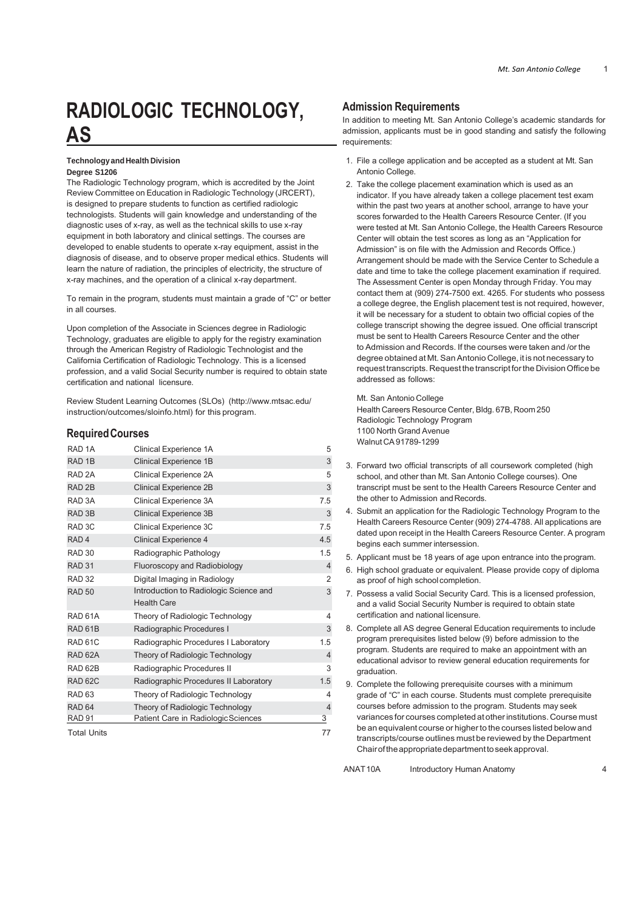# **RADIOLOGIC TECHNOLOGY, AS**

#### **Technology and Health Division Degree S1206**

 The Radiologic Technology program, which is accredited by the Joint is designed to prepare students to function as certified radiologic equipment in both laboratory and clinical settings. The courses are developed to enable students to operate x-ray equipment, assist in the diagnosis of disease, and to observe proper medical ethics. Students will learn the nature of radiation, the principles of electricity, the structure of x-ray machines, and the operation of a clinical x-ray department. Review Committee on Education in Radiologic Technology (JRCERT), technologists. Students will gain knowledge and understanding of the diagnostic uses of x-ray, as well as the technical skills to use x-ray

 To remain in the program, students must maintain a grade of "C" or better in all courses.

 Technology, graduates are eligible to apply for the registry examination through the American Registry of Radiologic Technologist and the California Certification of Radiologic Technology. This is a licensed profession, and a valid Social Security number is required to obtain state certification and national licensure. Upon completion of the Associate in Sciences degree in Radiologic

Review Student Learning Outcomes (SLOs) [\(http://www.mtsac.edu/](http://www.mtsac.edu/)  instruction/outcomes/sloinfo.html) for this program.

## **RequiredCourses**

| RAD <sub>1A</sub>   | Clinical Experience 1A                                       | 5              |
|---------------------|--------------------------------------------------------------|----------------|
| RAD <sub>1B</sub>   | Clinical Experience 1B                                       | 3              |
| RAD <sub>2A</sub>   | Clinical Experience 2A                                       | 5              |
| RAD <sub>2B</sub>   | Clinical Experience 2B                                       | 3              |
| RAD <sub>3</sub> A  | Clinical Experience 3A                                       | 7.5            |
| RAD <sub>3B</sub>   | Clinical Experience 3B                                       | 3              |
| RAD <sub>3C</sub>   | Clinical Experience 3C                                       | 7.5            |
| RAD <sub>4</sub>    | <b>Clinical Experience 4</b>                                 | 4.5            |
| RAD <sub>30</sub>   | Radiographic Pathology                                       | 1.5            |
| <b>RAD 31</b>       | Fluoroscopy and Radiobiology                                 | $\overline{4}$ |
| <b>RAD 32</b>       | Digital Imaging in Radiology                                 | 2              |
| <b>RAD 50</b>       | Introduction to Radiologic Science and<br><b>Health Care</b> | 3              |
| RAD 61A             | Theory of Radiologic Technology                              | 4              |
| RAD <sub>61</sub> B | Radiographic Procedures I                                    | 3              |
| RAD <sub>61</sub> C | Radiographic Procedures I Laboratory                         | 1.5            |
| RAD <sub>62A</sub>  | Theory of Radiologic Technology                              | $\overline{4}$ |
| RAD <sub>62B</sub>  | Radiographic Procedures II                                   | 3              |
| <b>RAD 62C</b>      | Radiographic Procedures II Laboratory                        | 1.5            |
| RAD <sub>63</sub>   | Theory of Radiologic Technology                              | 4              |
| RAD <sub>64</sub>   | Theory of Radiologic Technology                              | $\overline{4}$ |
| <b>RAD 91</b>       | Patient Care in Radiologic Sciences                          | 3              |
| Total Units         |                                                              | 77             |

## **Admission Requirements**

 In addition to meeting Mt. San Antonio College's academic standards for admission, applicants must be in good standing and satisfy the following requirements:

- 1. File a college application and be accepted as a student at Mt. San Antonio College.
- Center will obtain the test scores as long as an "Application for Admission" is on file with the Admission and Records Office.) date and time to take the college placement examination if required. contact them at (909) 274-7500 ext. 4265. For students who possess it will be necessary for a student to obtain two official copies of the college transcript showing the degree issued. One official transcript 2. Take the college placement examination which is used as an indicator. If you have already taken a college placement test exam within the past two years at another school, arrange to have your scores forwarded to the Health Careers Resource Center. (If you were tested at Mt. San Antonio College, the Health Careers Resource Arrangement should be made with the Service Center to Schedule a The Assessment Center is open Monday through Friday. You may a college degree, the English placement test is not required, however, must be sent to Health Careers Resource Center and the other to Admission and Records. If the courses were taken and /or the degree obtained at Mt. San Antonio College, it is not necessary to request transcripts. Request the transcript for the Division Office be addressed as follows:

Mt. San Antonio College Health Careers Resource Center, Bldg. 67B, Room 250 Radiologic Technology Program 1100 North Grand Avenue Walnut CA 91789-1299

- the other to Admission and Records. 3. Forward two official transcripts of all coursework completed (high school, and other than Mt. San Antonio College courses). One transcript must be sent to the Health Careers Resource Center and
- 4. Submit an application for the Radiologic Technology Program to the begins each summer intersession. Health Careers Resource Center (909) 274-4788. All applications are dated upon receipt in the Health Careers Resource Center. A program
- 5. Applicant must be 18 years of age upon entrance into the program.
- 6. High school graduate or equivalent. Please provide copy of diploma as proof of high school completion.
- certification and national licensure. 7. Possess a valid Social Security Card. This is a licensed profession, and a valid Social Security Number is required to obtain state
- program. Students are required to make an appointment with an educational advisor to review general education requirements for 8. Complete all AS degree General Education requirements to include program prerequisites listed below (9) before admission to the graduation.
- 9. Complete the following prerequisite courses with a minimum grade of "C" in each course. Students must complete prerequisite courses before admission to the program. Students may seek variances for courses completed at other institutions. Course must be an equivalent course or higher to the courses listed below and transcripts/course outlines must be reviewed by the Department Chairoftheappropriatedepartmenttoseekapproval.

ANAT 10A Introductory Human Anatomy 4